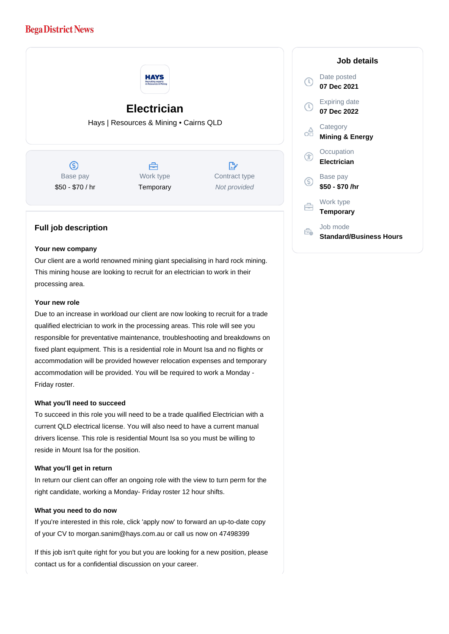# **Bega District News**



### **Full job description**

#### **Your new company**

Our client are a world renowned mining giant specialising in hard rock mining. This mining house are looking to recruit for an electrician to work in their processing area.

#### **Your new role**

Due to an increase in workload our client are now looking to recruit for a trade qualified electrician to work in the processing areas. This role will see you responsible for preventative maintenance, troubleshooting and breakdowns on fixed plant equipment. This is a residential role in Mount Isa and no flights or accommodation will be provided however relocation expenses and temporary accommodation will be provided. You will be required to work a Monday - Friday roster.

#### **What you'll need to succeed**

To succeed in this role you will need to be a trade qualified Electrician with a current QLD electrical license. You will also need to have a current manual drivers license. This role is residential Mount Isa so you must be willing to reside in Mount Isa for the position.

#### **What you'll get in return**

In return our client can offer an ongoing role with the view to turn perm for the right candidate, working a Monday- Friday roster 12 hour shifts.

#### **What you need to do now**

If you're interested in this role, click 'apply now' to forward an up-to-date copy of your CV to morgan.sanim@hays.com.au or call us now on 47498399

If this job isn't quite right for you but you are looking for a new position, please contact us for a confidential discussion on your career.

## **Job details** Date posted Œ **07 Dec 2021** Expiring date **07 Dec 2022 Category** റ്റി **Mining & Energy Occupation Electrician** Base pay **\$50 - \$70 /hr** Work type 户 **Temporary** Job mode Ê. **Standard/Business Hours**